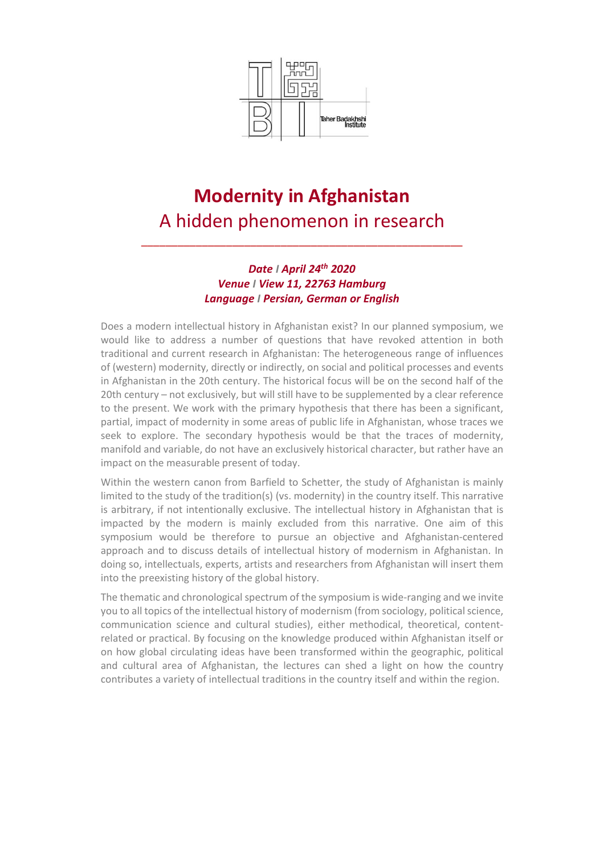

# **Modernity in Afghanistan** A hidden phenomenon in research

\_\_\_\_\_\_\_\_\_\_\_\_\_\_\_\_\_\_\_\_\_\_\_\_\_\_\_\_\_\_\_\_\_\_\_\_\_\_\_\_\_\_\_\_\_\_\_\_\_\_\_\_\_

# *Date I April 24th 2020 Venue I View 11, 22763 Hamburg Language I Persian, German or English*

Does a modern intellectual history in Afghanistan exist? In our planned symposium, we would like to address a number of questions that have revoked attention in both traditional and current research in Afghanistan: The heterogeneous range of influences of (western) modernity, directly or indirectly, on social and political processes and events in Afghanistan in the 20th century. The historical focus will be on the second half of the 20th century – not exclusively, but will still have to be supplemented by a clear reference to the present. We work with the primary hypothesis that there has been a significant, partial, impact of modernity in some areas of public life in Afghanistan, whose traces we seek to explore. The secondary hypothesis would be that the traces of modernity, manifold and variable, do not have an exclusively historical character, but rather have an impact on the measurable present of today.

Within the western canon from Barfield to Schetter, the study of Afghanistan is mainly limited to the study of the tradition(s) (vs. modernity) in the country itself. This narrative is arbitrary, if not intentionally exclusive. The intellectual history in Afghanistan that is impacted by the modern is mainly excluded from this narrative. One aim of this symposium would be therefore to pursue an objective and Afghanistan-centered approach and to discuss details of intellectual history of modernism in Afghanistan. In doing so, intellectuals, experts, artists and researchers from Afghanistan will insert them into the preexisting history of the global history.

The thematic and chronological spectrum of the symposium is wide-ranging and we invite you to all topics of the intellectual history of modernism (from sociology, political science, communication science and cultural studies), either methodical, theoretical, contentrelated or practical. By focusing on the knowledge produced within Afghanistan itself or on how global circulating ideas have been transformed within the geographic, political and cultural area of Afghanistan, the lectures can shed a light on how the country contributes a variety of intellectual traditions in the country itself and within the region.